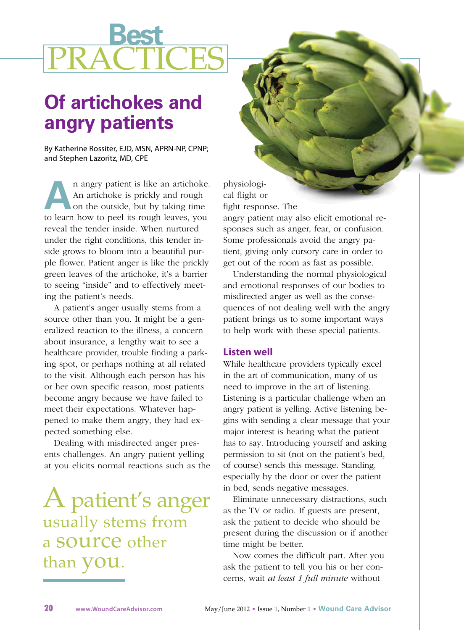# **Best** PRACTICES

# **Of artichokes and angry patients**

By Katherine Rossiter, EJD, MSN, APRN-NP, CPNP; and Stephen Lazoritz, MD, CPE

**A**n angry patient is like an artichoke.<br>
An artichoke is prickly and rough<br>
on the outside, but by taking time<br>
to loan have to good its gurch loaves you. An artichoke is prickly and rough on the outside, but by taking time to learn how to peel its rough leaves, you reveal the tender inside. When nurtured under the right conditions, this tender inside grows to bloom into a beautiful purple flower. Patient anger is like the prickly green leaves of the artichoke, it's a barrier to seeing "inside" and to effectively meeting the patient's needs.

A patient's anger usually stems from a source other than you. It might be a generalized reaction to the illness, a concern about insurance, a lengthy wait to see a healthcare provider, trouble finding a parking spot, or perhaps nothing at all related to the visit. Although each person has his or her own specific reason, most patients become angry because we have failed to meet their expectations. Whatever happened to make them angry, they had expected something else.

Dealing with misdirected anger presents challenges. An angry patient yelling at you elicits normal reactions such as the

# A patient's anger usually stems from a source other than **you**.

physiological flight or fight response. The

angry patient may also elicit emotional responses such as anger, fear, or confusion. Some professionals avoid the angry patient, giving only cursory care in order to get out of the room as fast as possible.

Understanding the normal physiological and emotional responses of our bodies to misdirected anger as well as the consequences of not dealing well with the angry patient brings us to some important ways to help work with these special patients.

### **Listen well**

While healthcare providers typically excel in the art of communication, many of us need to improve in the art of listening. Listening is a particular challenge when an angry patient is yelling. Active listening begins with sending a clear message that your major interest is hearing what the patient has to say. Introducing yourself and asking permission to sit (not on the patient's bed, of course) sends this message. Standing, especially by the door or over the patient in bed, sends negative messages.

Eliminate unnecessary distractions, such as the TV or radio. If guests are present, ask the patient to decide who should be present during the discussion or if another time might be better.

Now comes the difficult part. After you ask the patient to tell you his or her concerns, wait *at least 1 full minute* without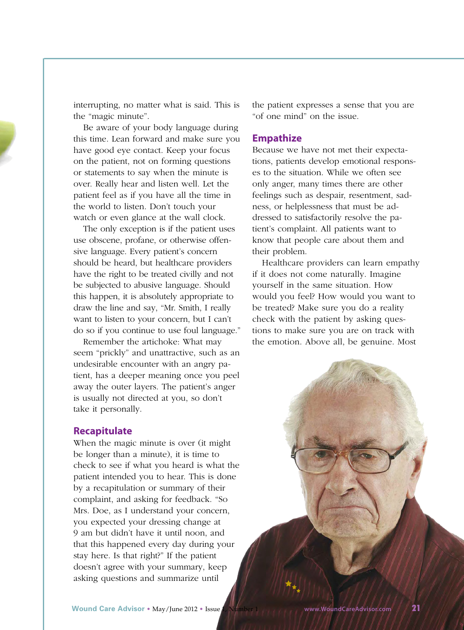interrupting, no matter what is said. This is the "magic minute".

Be aware of your body language during this time. Lean forward and make sure you have good eye contact. Keep your focus on the patient, not on forming questions or statements to say when the minute is over. Really hear and listen well. Let the patient feel as if you have all the time in the world to listen. Don't touch your watch or even glance at the wall clock.

The only exception is if the patient uses use obscene, profane, or otherwise offensive language. Every patient's concern should be heard, but healthcare providers have the right to be treated civilly and not be subjected to abusive language. Should this happen, it is absolutely appropriate to draw the line and say, "Mr. Smith, I really want to listen to your concern, but I can't do so if you continue to use foul language."

Remember the artichoke: What may seem "prickly" and unattractive, such as an undesirable encounter with an angry patient, has a deeper meaning once you peel away the outer layers. The patient's anger is usually not directed at you, so don't take it personally.

#### **Recapitulate**

When the magic minute is over (it might be longer than a minute), it is time to check to see if what you heard is what the patient intended you to hear. This is done by a recapitulation or summary of their complaint, and asking for feedback. "So Mrs. Doe, as I understand your concern, you expected your dressing change at 9 am but didn't have it until noon, and that this happened every day during your stay here. Is that right?" If the patient doesn't agree with your summary, keep asking questions and summarize until

the patient expresses a sense that you are "of one mind" on the issue.

#### **Empathize**

Because we have not met their expectations, patients develop emotional responses to the situation. While we often see only anger, many times there are other feelings such as despair, resentment, sadness, or helplessness that must be addressed to satisfactorily resolve the patient's complaint. All patients want to know that people care about them and their problem.

Healthcare providers can learn empathy if it does not come naturally. Imagine yourself in the same situation. How would you feel? How would you want to be treated? Make sure you do a reality check with the patient by asking questions to make sure you are on track with the emotion. Above all, be genuine. Most